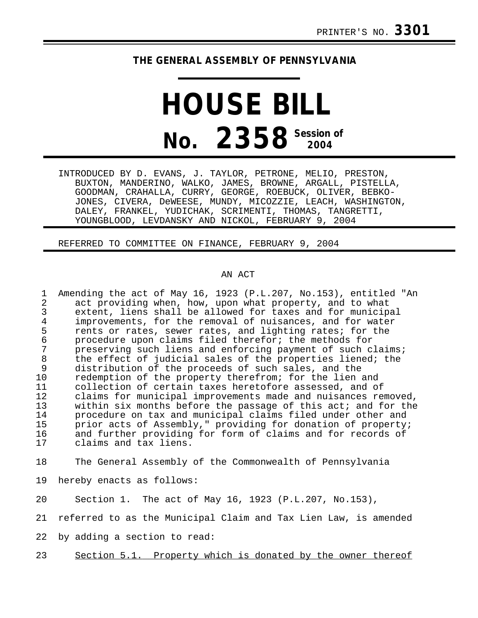## **THE GENERAL ASSEMBLY OF PENNSYLVANIA**

## **HOUSE BILL No.** 2358<sup> Session of</sup>

INTRODUCED BY D. EVANS, J. TAYLOR, PETRONE, MELIO, PRESTON, BUXTON, MANDERINO, WALKO, JAMES, BROWNE, ARGALL, PISTELLA, GOODMAN, CRAHALLA, CURRY, GEORGE, ROEBUCK, OLIVER, BEBKO-JONES, CIVERA, DeWEESE, MUNDY, MICOZZIE, LEACH, WASHINGTON, DALEY, FRANKEL, YUDICHAK, SCRIMENTI, THOMAS, TANGRETTI, YOUNGBLOOD, LEVDANSKY AND NICKOL, FEBRUARY 9, 2004

REFERRED TO COMMITTEE ON FINANCE, FEBRUARY 9, 2004

## AN ACT

1 Amending the act of May 16, 1923 (P.L.207, No.153), entitled "An 2<br>2 act providing when, how, upon what property, and to what 2 act providing when, how, upon what property, and to what 3 extent, liens shall be allowed for taxes and for municipal 4 improvements, for the removal of nuisances, and for water<br>5 rents or rates, sewer rates, and lighting rates; for the 5 rents or rates, sewer rates, and lighting rates; for the<br>6 orocedure upon claims filed therefor; the methods for 6 procedure upon claims filed therefor; the methods for preserving such liens and enforcing payment of such claims; 8 the effect of judicial sales of the properties liened; the<br>9 distribution of the proceeds of such sales, and the 9 distribution of the proceeds of such sales, and the<br>10 redemption of the property therefrom; for the lien redemption of the property therefrom; for the lien and 11 collection of certain taxes heretofore assessed, and of<br>12 claims for municipal improvements made and nuisances re 12 claims for municipal improvements made and nuisances removed,<br>13 within six months before the passage of this act; and for the 13 within six months before the passage of this act; and for the<br>14 procedure on tax and municipal claims filed under other and 14 procedure on tax and municipal claims filed under other and<br>15 prior acts of Assembly." providing for donation of property. 15 prior acts of Assembly," providing for donation of property;<br>16 and further providing for form of claims and for records of 16 and further providing for form of claims and for records of<br>17 claims and tax liens. claims and tax liens.

18 The General Assembly of the Commonwealth of Pennsylvania

19 hereby enacts as follows:

20 Section 1. The act of May 16, 1923 (P.L.207, No.153),

21 referred to as the Municipal Claim and Tax Lien Law, is amended

22 by adding a section to read:

23 Section 5.1. Property which is donated by the owner thereof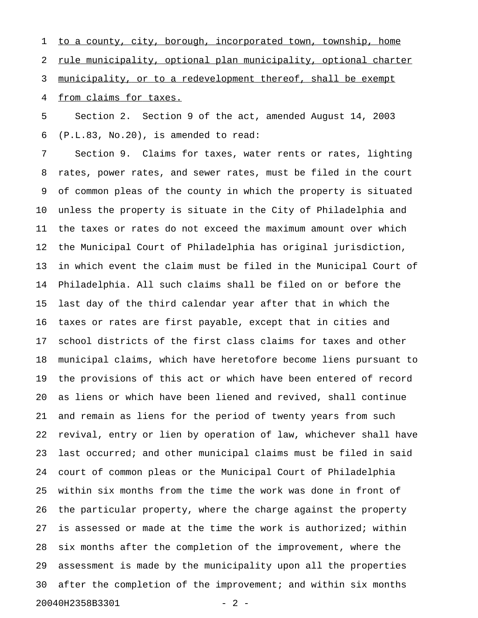1 to a county, city, borough, incorporated town, township, home 2 rule municipality, optional plan municipality, optional charter 3 municipality, or to a redevelopment thereof, shall be exempt 4 from claims for taxes.

5 Section 2. Section 9 of the act, amended August 14, 2003 6 (P.L.83, No.20), is amended to read:

7 Section 9. Claims for taxes, water rents or rates, lighting 8 rates, power rates, and sewer rates, must be filed in the court 9 of common pleas of the county in which the property is situated 10 unless the property is situate in the City of Philadelphia and 11 the taxes or rates do not exceed the maximum amount over which 12 the Municipal Court of Philadelphia has original jurisdiction, 13 in which event the claim must be filed in the Municipal Court of 14 Philadelphia. All such claims shall be filed on or before the 15 last day of the third calendar year after that in which the 16 taxes or rates are first payable, except that in cities and 17 school districts of the first class claims for taxes and other 18 municipal claims, which have heretofore become liens pursuant to 19 the provisions of this act or which have been entered of record 20 as liens or which have been liened and revived, shall continue 21 and remain as liens for the period of twenty years from such 22 revival, entry or lien by operation of law, whichever shall have 23 last occurred; and other municipal claims must be filed in said 24 court of common pleas or the Municipal Court of Philadelphia 25 within six months from the time the work was done in front of 26 the particular property, where the charge against the property 27 is assessed or made at the time the work is authorized; within 28 six months after the completion of the improvement, where the 29 assessment is made by the municipality upon all the properties 30 after the completion of the improvement; and within six months 20040H2358B3301 - 2 -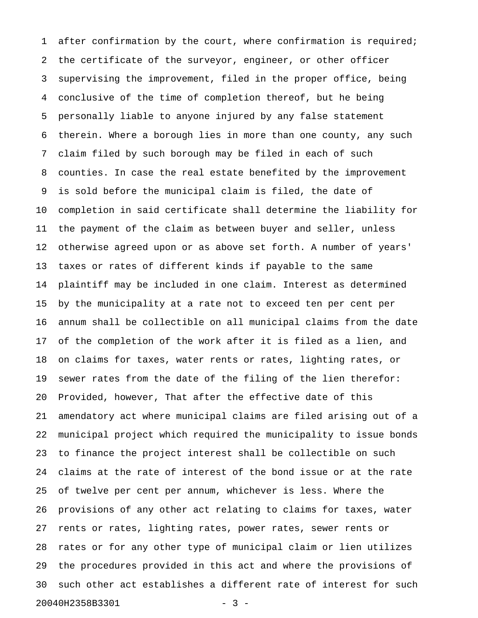1 after confirmation by the court, where confirmation is required; 2 the certificate of the surveyor, engineer, or other officer 3 supervising the improvement, filed in the proper office, being 4 conclusive of the time of completion thereof, but he being 5 personally liable to anyone injured by any false statement 6 therein. Where a borough lies in more than one county, any such 7 claim filed by such borough may be filed in each of such 8 counties. In case the real estate benefited by the improvement 9 is sold before the municipal claim is filed, the date of 10 completion in said certificate shall determine the liability for 11 the payment of the claim as between buyer and seller, unless 12 otherwise agreed upon or as above set forth. A number of years' 13 taxes or rates of different kinds if payable to the same 14 plaintiff may be included in one claim. Interest as determined 15 by the municipality at a rate not to exceed ten per cent per 16 annum shall be collectible on all municipal claims from the date 17 of the completion of the work after it is filed as a lien, and 18 on claims for taxes, water rents or rates, lighting rates, or 19 sewer rates from the date of the filing of the lien therefor: 20 Provided, however, That after the effective date of this 21 amendatory act where municipal claims are filed arising out of a 22 municipal project which required the municipality to issue bonds 23 to finance the project interest shall be collectible on such 24 claims at the rate of interest of the bond issue or at the rate 25 of twelve per cent per annum, whichever is less. Where the 26 provisions of any other act relating to claims for taxes, water 27 rents or rates, lighting rates, power rates, sewer rents or 28 rates or for any other type of municipal claim or lien utilizes 29 the procedures provided in this act and where the provisions of 30 such other act establishes a different rate of interest for such 20040H2358B3301 - 3 -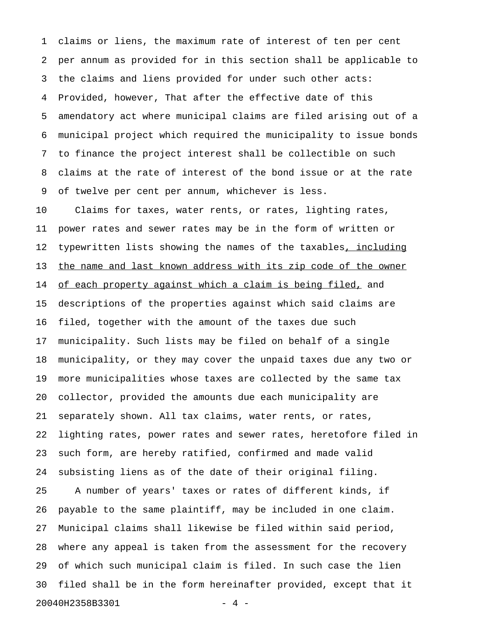1 claims or liens, the maximum rate of interest of ten per cent 2 per annum as provided for in this section shall be applicable to 3 the claims and liens provided for under such other acts: 4 Provided, however, That after the effective date of this 5 amendatory act where municipal claims are filed arising out of a 6 municipal project which required the municipality to issue bonds 7 to finance the project interest shall be collectible on such 8 claims at the rate of interest of the bond issue or at the rate 9 of twelve per cent per annum, whichever is less.

10 Claims for taxes, water rents, or rates, lighting rates, 11 power rates and sewer rates may be in the form of written or 12 typewritten lists showing the names of the taxables, including 13 the name and last known address with its zip code of the owner 14 of each property against which a claim is being filed, and 15 descriptions of the properties against which said claims are 16 filed, together with the amount of the taxes due such 17 municipality. Such lists may be filed on behalf of a single 18 municipality, or they may cover the unpaid taxes due any two or 19 more municipalities whose taxes are collected by the same tax 20 collector, provided the amounts due each municipality are 21 separately shown. All tax claims, water rents, or rates, 22 lighting rates, power rates and sewer rates, heretofore filed in 23 such form, are hereby ratified, confirmed and made valid 24 subsisting liens as of the date of their original filing. 25 A number of years' taxes or rates of different kinds, if 26 payable to the same plaintiff, may be included in one claim. 27 Municipal claims shall likewise be filed within said period, 28 where any appeal is taken from the assessment for the recovery 29 of which such municipal claim is filed. In such case the lien 30 filed shall be in the form hereinafter provided, except that it 20040H2358B3301 - 4 -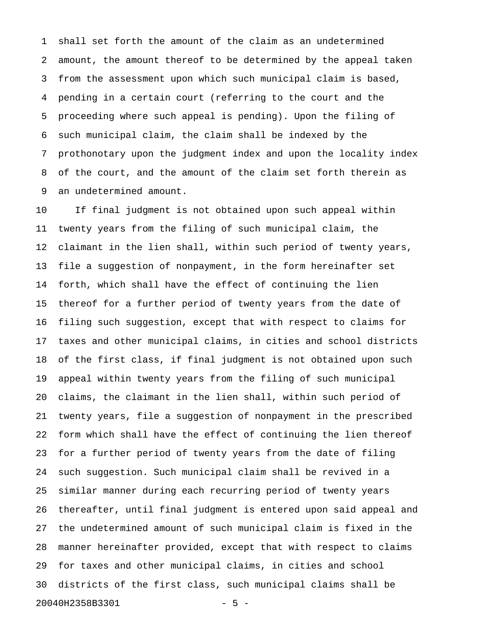1 shall set forth the amount of the claim as an undetermined 2 amount, the amount thereof to be determined by the appeal taken 3 from the assessment upon which such municipal claim is based, 4 pending in a certain court (referring to the court and the 5 proceeding where such appeal is pending). Upon the filing of 6 such municipal claim, the claim shall be indexed by the 7 prothonotary upon the judgment index and upon the locality index 8 of the court, and the amount of the claim set forth therein as 9 an undetermined amount.

10 If final judgment is not obtained upon such appeal within 11 twenty years from the filing of such municipal claim, the 12 claimant in the lien shall, within such period of twenty years, 13 file a suggestion of nonpayment, in the form hereinafter set 14 forth, which shall have the effect of continuing the lien 15 thereof for a further period of twenty years from the date of 16 filing such suggestion, except that with respect to claims for 17 taxes and other municipal claims, in cities and school districts 18 of the first class, if final judgment is not obtained upon such 19 appeal within twenty years from the filing of such municipal 20 claims, the claimant in the lien shall, within such period of 21 twenty years, file a suggestion of nonpayment in the prescribed 22 form which shall have the effect of continuing the lien thereof 23 for a further period of twenty years from the date of filing 24 such suggestion. Such municipal claim shall be revived in a 25 similar manner during each recurring period of twenty years 26 thereafter, until final judgment is entered upon said appeal and 27 the undetermined amount of such municipal claim is fixed in the 28 manner hereinafter provided, except that with respect to claims 29 for taxes and other municipal claims, in cities and school 30 districts of the first class, such municipal claims shall be 20040H2358B3301 - 5 -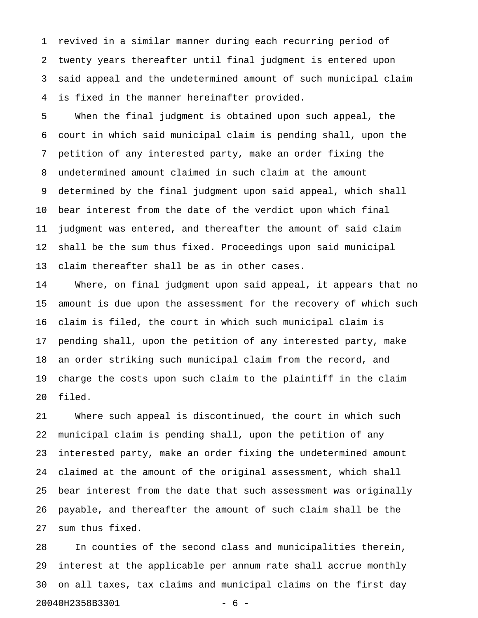1 revived in a similar manner during each recurring period of 2 twenty years thereafter until final judgment is entered upon 3 said appeal and the undetermined amount of such municipal claim 4 is fixed in the manner hereinafter provided.

5 When the final judgment is obtained upon such appeal, the 6 court in which said municipal claim is pending shall, upon the 7 petition of any interested party, make an order fixing the 8 undetermined amount claimed in such claim at the amount 9 determined by the final judgment upon said appeal, which shall 10 bear interest from the date of the verdict upon which final 11 judgment was entered, and thereafter the amount of said claim 12 shall be the sum thus fixed. Proceedings upon said municipal 13 claim thereafter shall be as in other cases.

14 Where, on final judgment upon said appeal, it appears that no 15 amount is due upon the assessment for the recovery of which such 16 claim is filed, the court in which such municipal claim is 17 pending shall, upon the petition of any interested party, make 18 an order striking such municipal claim from the record, and 19 charge the costs upon such claim to the plaintiff in the claim 20 filed.

21 Where such appeal is discontinued, the court in which such 22 municipal claim is pending shall, upon the petition of any 23 interested party, make an order fixing the undetermined amount 24 claimed at the amount of the original assessment, which shall 25 bear interest from the date that such assessment was originally 26 payable, and thereafter the amount of such claim shall be the 27 sum thus fixed.

28 In counties of the second class and municipalities therein, 29 interest at the applicable per annum rate shall accrue monthly 30 on all taxes, tax claims and municipal claims on the first day 20040H2358B3301 - 6 -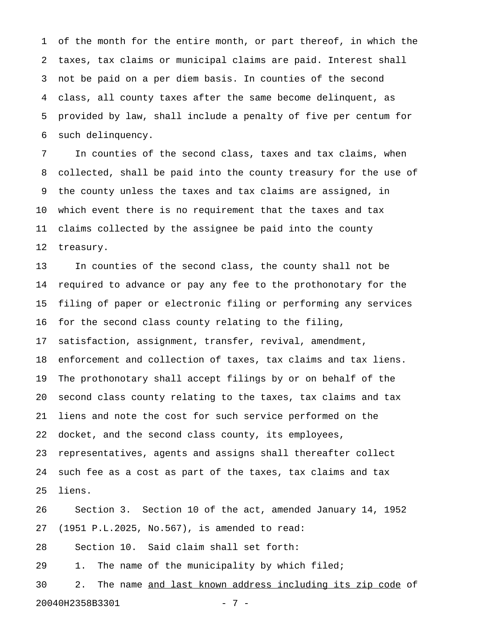1 of the month for the entire month, or part thereof, in which the 2 taxes, tax claims or municipal claims are paid. Interest shall 3 not be paid on a per diem basis. In counties of the second 4 class, all county taxes after the same become delinquent, as 5 provided by law, shall include a penalty of five per centum for 6 such delinquency.

7 In counties of the second class, taxes and tax claims, when 8 collected, shall be paid into the county treasury for the use of 9 the county unless the taxes and tax claims are assigned, in 10 which event there is no requirement that the taxes and tax 11 claims collected by the assignee be paid into the county 12 treasury.

13 In counties of the second class, the county shall not be 14 required to advance or pay any fee to the prothonotary for the 15 filing of paper or electronic filing or performing any services 16 for the second class county relating to the filing, 17 satisfaction, assignment, transfer, revival, amendment, 18 enforcement and collection of taxes, tax claims and tax liens. 19 The prothonotary shall accept filings by or on behalf of the 20 second class county relating to the taxes, tax claims and tax 21 liens and note the cost for such service performed on the 22 docket, and the second class county, its employees, 23 representatives, agents and assigns shall thereafter collect 24 such fee as a cost as part of the taxes, tax claims and tax 25 liens.

26 Section 3. Section 10 of the act, amended January 14, 1952 27 (1951 P.L.2025, No.567), is amended to read: 28 Section 10. Said claim shall set forth:

29 1. The name of the municipality by which filed;

30 2. The name and last known address including its zip code of 20040H2358B3301 - 7 -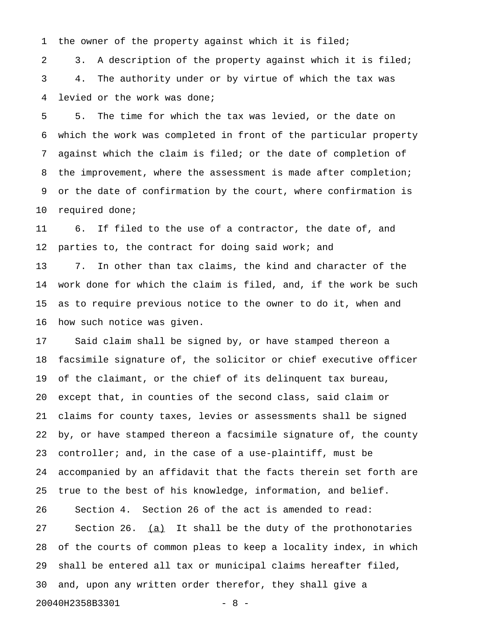1 the owner of the property against which it is filed;

2 3. A description of the property against which it is filed; 3 4. The authority under or by virtue of which the tax was 4 levied or the work was done;

5 5. The time for which the tax was levied, or the date on 6 which the work was completed in front of the particular property 7 against which the claim is filed; or the date of completion of 8 the improvement, where the assessment is made after completion; 9 or the date of confirmation by the court, where confirmation is 10 required done;

11 6. If filed to the use of a contractor, the date of, and 12 parties to, the contract for doing said work; and 13 7. In other than tax claims, the kind and character of the 14 work done for which the claim is filed, and, if the work be such 15 as to require previous notice to the owner to do it, when and 16 how such notice was given.

17 Said claim shall be signed by, or have stamped thereon a 18 facsimile signature of, the solicitor or chief executive officer 19 of the claimant, or the chief of its delinquent tax bureau, 20 except that, in counties of the second class, said claim or 21 claims for county taxes, levies or assessments shall be signed 22 by, or have stamped thereon a facsimile signature of, the county 23 controller; and, in the case of a use-plaintiff, must be 24 accompanied by an affidavit that the facts therein set forth are 25 true to the best of his knowledge, information, and belief. 26 Section 4. Section 26 of the act is amended to read: 27 Section 26.  $(a)$  It shall be the duty of the prothonotaries 28 of the courts of common pleas to keep a locality index, in which 29 shall be entered all tax or municipal claims hereafter filed, 30 and, upon any written order therefor, they shall give a 20040H2358B3301 - 8 -